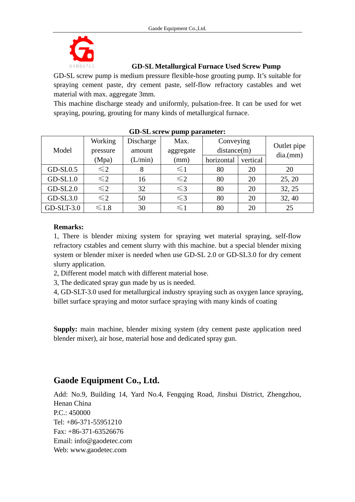

## **GD-SL Metallurgical Furnace Used Screw Pump**

GD-SL screw pump is medium pressure flexible-hose grouting pump. It's suitable for spraying cement paste, dry cement paste, self-flow refractory castables and wet material with max. aggregate 3mm.

This machine discharge steady and uniformly, pulsation-free. It can be used for wet spraying, pouring, grouting for many kinds of metallurgical furnace.

| Model        | Working<br>pressure | Discharge<br>amount | Max.<br>aggregate | Conveying<br>distance(m) |          | Outlet pipe |
|--------------|---------------------|---------------------|-------------------|--------------------------|----------|-------------|
|              | (Mpa)               | (L/min)             | (mm)              | horizontal               | vertical | dia(mm)     |
| $GD-SL0.5$   | $\leq$ 2            | 8                   | $\leq$ 1          | 80                       | 20       | 20          |
| $GD-SL1.0$   | $\leq 2$            | 16                  | $\leq 2$          | 80                       | 20       | 25, 20      |
| $GD-SL2.0$   | $\leq$ 2            | 32                  | $\leq$ 3          | 80                       | 20       | 32, 25      |
| $GD-SL3.0$   | $\leq$ 2            | 50                  | $\leq$ 3          | 80                       | 20       | 32, 40      |
| $GD-SLT-3.0$ | $\leq 1.8$          | 30                  | $\leq$ 1          | 80                       | 20       | 25          |

## **GD-SL screw pump parameter:**

## **Remarks:**

1, There is blender mixing system for spraying wet material spraying, self-flow refractory cstables and cement slurry with this machine. but a special blender mixing system or blender mixer is needed when use GD-SL 2.0 or GD-SL3.0 for dry cement slurry application.

2, Different model match with different material hose.

3, The dedicated spray gun made by us is needed.

4, GD-SLT-3.0 used for metallurgical industry spraying such as oxygen lance spraying, billet surface spraying and motor surface spraying with many kinds of coating

**Supply:** main machine, blender mixing system (dry cement paste application need blender mixer), air hose, material hose and dedicated spray gun.

## **Gaode Equipment Co., Ltd.**

Add: No.9, Building 14, Yard No.4, Fengqing Road, Jinshui District, Zhengzhou, Henan China P.C.: 450000 Tel: +86-371-55951210 Fax: +86-371-63526676 Email: info@gaodetec.com Web: www.gaodetec.com